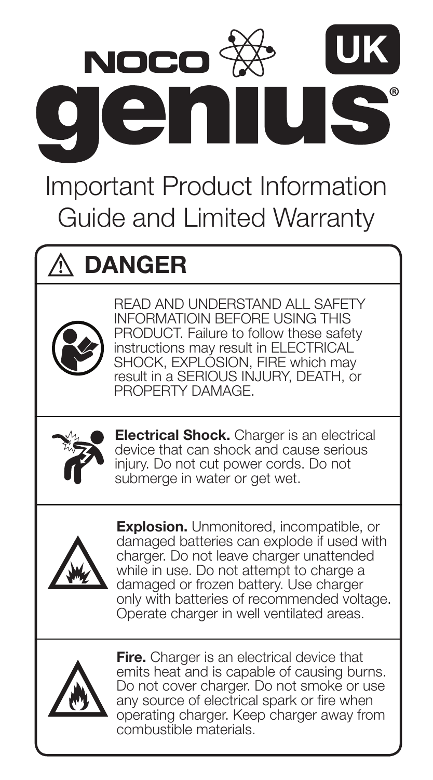

Important Product Information Guide and Limited Warranty

# $\wedge$  danger



READ AND UNDERSTAND ALL SAFETY INFORMATIOIN BEFORE USING THIS PRODUCT. Failure to follow these safety instructions may result in ELECTRICAL SHOCK, EXPLOSION, FIRE which may result in a SERIOUS INJURY, DEATH, or PROPERTY DAMAGE.



**Electrical Shock.** Charger is an electrical device that can shock and cause serious injury. Do not cut power cords. Do not submerge in water or get wet.



Explosion. Unmonitored, incompatible, or damaged batteries can explode if used with charger. Do not leave charger unattended while in use. Do not attempt to charge a damaged or frozen battery. Use charger only with batteries of recommended voltage. Operate charger in well ventilated areas.



**Fire.** Charger is an electrical device that emits heat and is capable of causing burns. Do not cover charger. Do not smoke or use any source of electrical spark or fire when operating charger. Keep charger away from combustible materials.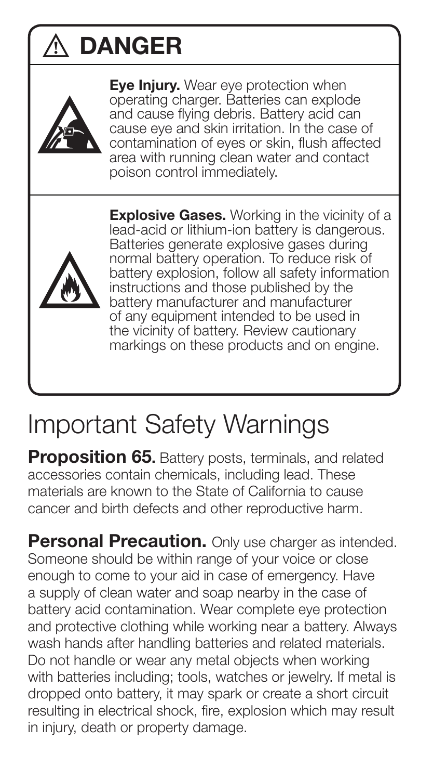# DANGER



**Eve Injury.** Wear eve protection when operating charger. Batteries can explode and cause flying debris. Battery acid can cause eye and skin irritation. In the case of contamination of eyes or skin, flush affected area with running clean water and contact poison control immediately.



**Explosive Gases.** Working in the vicinity of a lead-acid or lithium-ion battery is dangerous. Batteries generate explosive gases during normal battery operation. To reduce risk of battery explosion, follow all safety information instructions and those published by the battery manufacturer and manufacturer of any equipment intended to be used in the vicinity of battery. Review cautionary markings on these products and on engine.

# Important Safety Warnings

**Proposition 65.** Battery posts, terminals, and related accessories contain chemicals, including lead. These materials are known to the State of California to cause cancer and birth defects and other reproductive harm.

**Personal Precaution.** Only use charger as intended. Someone should be within range of your voice or close enough to come to your aid in case of emergency. Have a supply of clean water and soap nearby in the case of battery acid contamination. Wear complete eye protection and protective clothing while working near a battery. Always wash hands after handling batteries and related materials. Do not handle or wear any metal objects when working with batteries including; tools, watches or jewelry. If metal is dropped onto battery, it may spark or create a short circuit resulting in electrical shock, fire, explosion which may result in injury, death or property damage.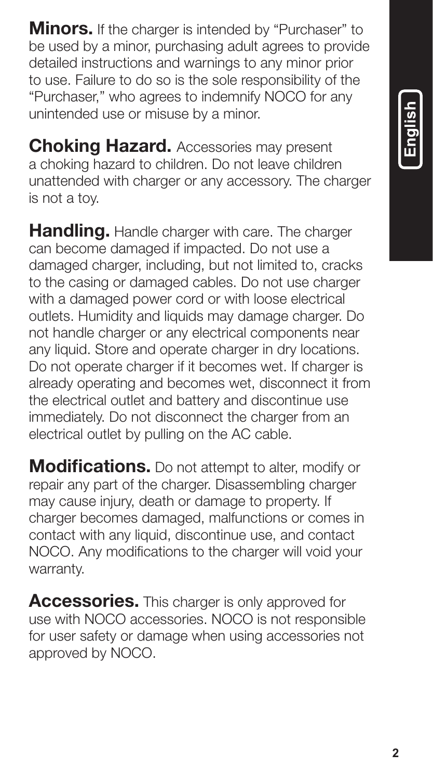**Minors.** If the charger is intended by "Purchaser" to be used by a minor, purchasing adult agrees to provide detailed instructions and warnings to any minor prior to use. Failure to do so is the sole responsibility of the "Purchaser," who agrees to indemnify NOCO for any unintended use or misuse by a minor.

Choking Hazard. Accessories may present a choking hazard to children. Do not leave children unattended with charger or any accessory. The charger is not a toy.

Handling. Handle charger with care. The charger can become damaged if impacted. Do not use a damaged charger, including, but not limited to, cracks to the casing or damaged cables. Do not use charger with a damaged power cord or with loose electrical outlets. Humidity and liquids may damage charger. Do not handle charger or any electrical components near any liquid. Store and operate charger in dry locations. Do not operate charger if it becomes wet. If charger is already operating and becomes wet, disconnect it from the electrical outlet and battery and discontinue use immediately. Do not disconnect the charger from an electrical outlet by pulling on the AC cable.

**Modifications.** Do not attempt to alter, modify or repair any part of the charger. Disassembling charger may cause injury, death or damage to property. If charger becomes damaged, malfunctions or comes in contact with any liquid, discontinue use, and contact NOCO. Any modifications to the charger will void your warranty.

Accessories. This charger is only approved for use with NOCO accessories. NOCO is not responsible for user safety or damage when using accessories not approved by NOCO.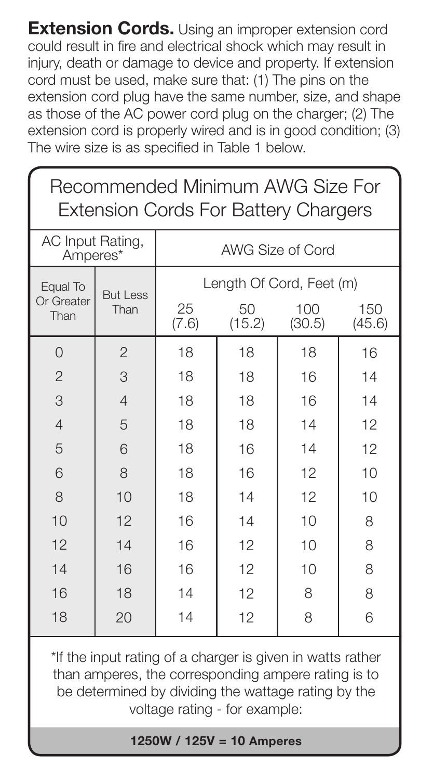**Extension Cords.** Using an improper extension cord could result in fire and electrical shock which may result in injury, death or damage to device and property. If extension cord must be used, make sure that: (1) The pins on the extension cord plug have the same number, size, and shape as those of the AC power cord plug on the charger; (2) The extension cord is properly wired and is in good condition; (3) The wire size is as specified in Table 1 below.

| Recommended Minimum AWG Size For<br><b>Extension Cords For Battery Chargers</b> |                         |                          |              |               |               |  |  |  |
|---------------------------------------------------------------------------------|-------------------------|--------------------------|--------------|---------------|---------------|--|--|--|
| AC Input Rating,<br>Amperes*                                                    |                         | AWG Size of Cord         |              |               |               |  |  |  |
| Equal To<br>Or Greater<br>Than                                                  | <b>But Less</b><br>Than | Length Of Cord, Feet (m) |              |               |               |  |  |  |
|                                                                                 |                         | 25<br>(7.6)              | 50<br>(15.2) | 100<br>(30.5) | 150<br>(45.6) |  |  |  |
| $\Omega$                                                                        | $\overline{2}$          | 18                       | 18           | 18            | 16            |  |  |  |
| $\overline{2}$                                                                  | 3                       | 18                       | 18           | 16            | 14            |  |  |  |
| 3                                                                               | $\overline{4}$          | 18                       | 18           | 16            | 14            |  |  |  |
| $\overline{4}$                                                                  | 5                       | 18                       | 18           | 14            | 12            |  |  |  |
| 5                                                                               | 6                       | 18                       | 16           | 14            | 12            |  |  |  |
| 6                                                                               | 8                       | 18                       | 16           | 12            | 10            |  |  |  |
| 8                                                                               | 10                      | 18                       | 14           | 12            | 10            |  |  |  |
| 10                                                                              | 12                      | 16                       | 14           | 10            | 8             |  |  |  |
| 12                                                                              | 14                      | 16                       | 12           | 10            | 8             |  |  |  |
| 14                                                                              | 16                      | 16                       | 12           | 10            | 8             |  |  |  |
| 16                                                                              | 18                      | 14                       | 12           | 8             | 8             |  |  |  |
| 18                                                                              | 20                      | 14                       | 12           | 8             | 6             |  |  |  |
| *If the innut reting of a charger is given in watte rether                      |                         |                          |              |               |               |  |  |  |

If the input rating of a charger is given in watts rather than amperes, the corresponding ampere rating is to be determined by dividing the wattage rating by the voltage rating - for example:

1250W / 125V = 10 Amperes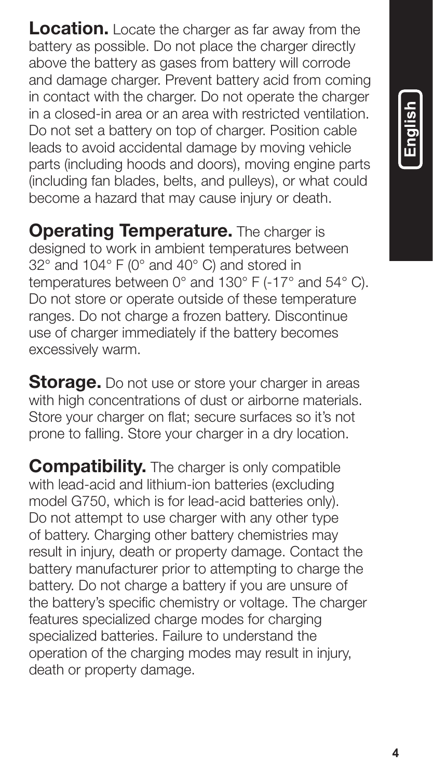**Location.** Locate the charger as far away from the battery as possible. Do not place the charger directly above the battery as gases from battery will corrode and damage charger. Prevent battery acid from coming in contact with the charger. Do not operate the charger in a closed-in area or an area with restricted ventilation. Do not set a battery on top of charger. Position cable leads to avoid accidental damage by moving vehicle parts (including hoods and doors), moving engine parts (including fan blades, belts, and pulleys), or what could become a hazard that may cause injury or death.

**Operating Temperature.** The charger is designed to work in ambient temperatures between 32° and 104° F (0° and 40° C) and stored in temperatures between 0° and 130° F (-17° and 54° C). Do not store or operate outside of these temperature ranges. Do not charge a frozen battery. Discontinue use of charger immediately if the battery becomes excessively warm.

**Storage.** Do not use or store your charger in areas with high concentrations of dust or airborne materials. Store your charger on flat; secure surfaces so it's not prone to falling. Store your charger in a dry location.

**Compatibility.** The charger is only compatible with lead-acid and lithium-ion batteries (excluding model G750, which is for lead-acid batteries only). Do not attempt to use charger with any other type of battery. Charging other battery chemistries may result in injury, death or property damage. Contact the battery manufacturer prior to attempting to charge the battery. Do not charge a battery if you are unsure of the battery's specific chemistry or voltage. The charger features specialized charge modes for charging specialized batteries. Failure to understand the operation of the charging modes may result in injury, death or property damage.

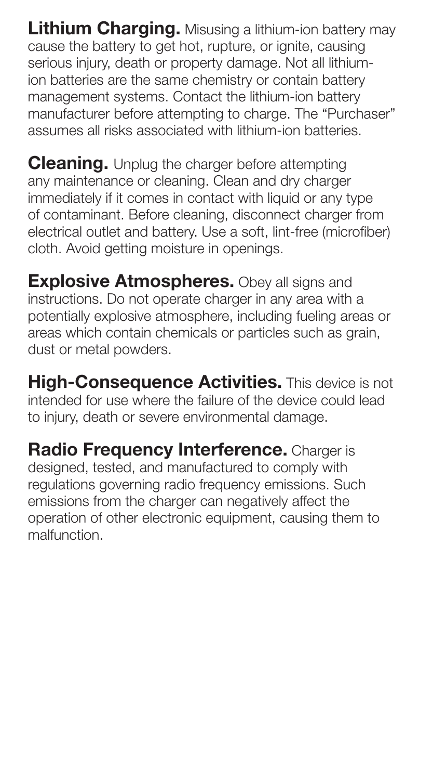**Lithium Charging.** Misusing a lithium-ion battery may cause the battery to get hot, rupture, or ignite, causing serious injury, death or property damage. Not all lithiumion batteries are the same chemistry or contain battery management systems. Contact the lithium-ion battery manufacturer before attempting to charge. The "Purchaser" assumes all risks associated with lithium-ion batteries.

**Cleaning.** Unplug the charger before attempting any maintenance or cleaning. Clean and dry charger immediately if it comes in contact with liquid or any type of contaminant. Before cleaning, disconnect charger from electrical outlet and battery. Use a soft, lint-free (microfiber) cloth. Avoid getting moisture in openings.

**Explosive Atmospheres.** Obey all signs and instructions. Do not operate charger in any area with a potentially explosive atmosphere, including fueling areas or areas which contain chemicals or particles such as grain, dust or metal powders.

High-Consequence Activities. This device is not intended for use where the failure of the device could lead to injury, death or severe environmental damage.

Radio Frequency Interference. Charger is designed, tested, and manufactured to comply with regulations governing radio frequency emissions. Such emissions from the charger can negatively affect the operation of other electronic equipment, causing them to malfunction.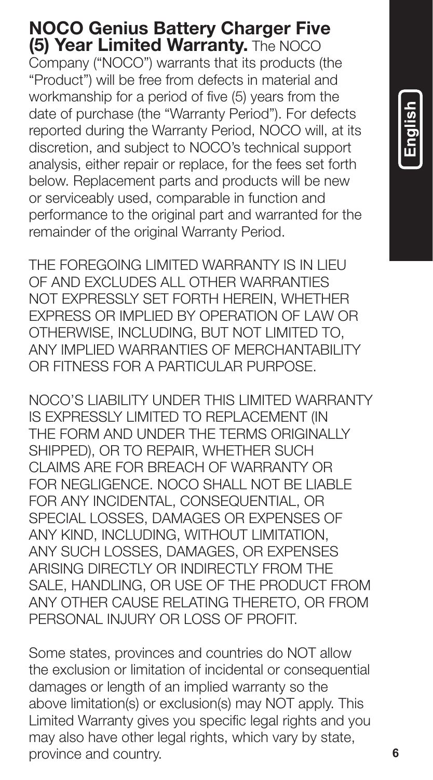# NOCO Genius Battery Charger Five (5) Year Limited Warranty. The NOCO

Company ("NOCO") warrants that its products (the "Product") will be free from defects in material and workmanship for a period of five (5) years from the date of purchase (the "Warranty Period"). For defects reported during the Warranty Period, NOCO will, at its discretion, and subject to NOCO's technical support analysis, either repair or replace, for the fees set forth below. Replacement parts and products will be new or serviceably used, comparable in function and performance to the original part and warranted for the remainder of the original Warranty Period.

THE FOREGOING LIMITED WARRANTY IS IN LIEU OF AND EXCLUDES ALL OTHER WARRANTIES NOT EXPRESSLY SET FORTH HEREIN, WHETHER EXPRESS OR IMPLIED BY OPERATION OF LAW OR OTHERWISE, INCLUDING, BUT NOT LIMITED TO, ANY IMPLIED WARRANTIES OF MERCHANTABILITY OR FITNESS FOR A PARTICULAR PURPOSE.

NOCO'S LIABILITY UNDER THIS LIMITED WARRANTY IS EXPRESSLY LIMITED TO REPLACEMENT (IN THE FORM AND UNDER THE TERMS ORIGINALLY SHIPPED), OR TO REPAIR, WHETHER SUCH CLAIMS ARE FOR BREACH OF WARRANTY OR FOR NEGLIGENCE. NOCO SHALL NOT BE LIABLE FOR ANY INCIDENTAL, CONSEQUENTIAL, OR SPECIAL LOSSES, DAMAGES OR EXPENSES OF ANY KIND, INCLUDING, WITHOUT LIMITATION, ANY SUCH LOSSES, DAMAGES, OR EXPENSES ARISING DIRECTLY OR INDIRECTLY FROM THE SALE, HANDLING, OR USE OF THE PRODUCT FROM ANY OTHER CAUSE RELATING THERETO, OR FROM PERSONAL INJURY OR LOSS OF PROFIT.

Some states, provinces and countries do NOT allow the exclusion or limitation of incidental or consequential damages or length of an implied warranty so the above limitation(s) or exclusion(s) may NOT apply. This Limited Warranty gives you specific legal rights and you may also have other legal rights, which vary by state. province and country.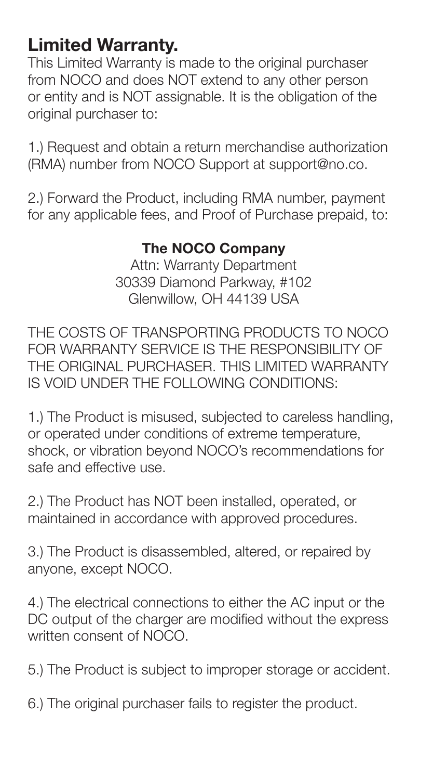# Limited Warranty.

This Limited Warranty is made to the original purchaser from NOCO and does NOT extend to any other person or entity and is NOT assignable. It is the obligation of the original purchaser to:

1.) Request and obtain a return merchandise authorization (RMA) number from NOCO Support at support@no.co.

2.) Forward the Product, including RMA number, payment for any applicable fees, and Proof of Purchase prepaid, to:

# The NOCO Company

Attn: Warranty Department 30339 Diamond Parkway, #102 Glenwillow, OH 44139 USA

THE COSTS OF TRANSPORTING PRODUCTS TO NOCO FOR WARRANTY SERVICE IS THE RESPONSIBILITY OF THE ORIGINAL PURCHASER. THIS LIMITED WARRANTY IS VOID UNDER THE FOLLOWING CONDITIONS:

1.) The Product is misused, subjected to careless handling, or operated under conditions of extreme temperature, shock, or vibration beyond NOCO's recommendations for safe and effective use.

2.) The Product has NOT been installed, operated, or maintained in accordance with approved procedures.

3.) The Product is disassembled, altered, or repaired by anyone, except NOCO.

4.) The electrical connections to either the AC input or the DC output of the charger are modified without the express written consent of NOCO.

5.) The Product is subject to improper storage or accident.

6.) The original purchaser fails to register the product.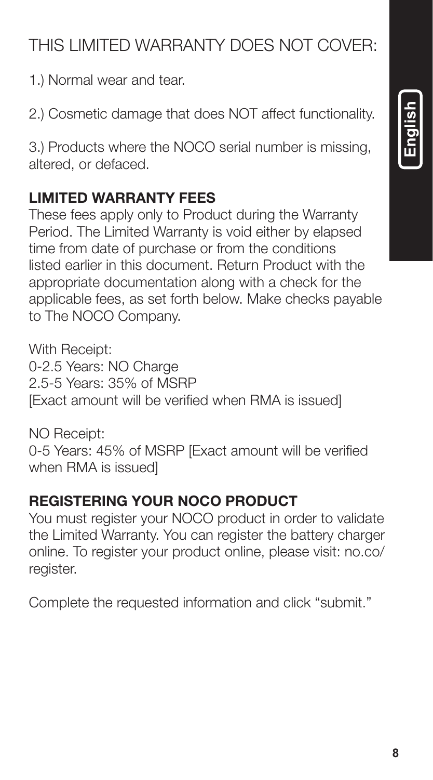### **8**

# THIS LIMITED WARRANTY DOES NOT COVER:

1.) Normal wear and tear.

2.) Cosmetic damage that does NOT affect functionality.

3.) Products where the NOCO serial number is missing, altered, or defaced.

# LIMITED WARRANTY FEES

These fees apply only to Product during the Warranty Period. The Limited Warranty is void either by elapsed time from date of purchase or from the conditions listed earlier in this document. Return Product with the appropriate documentation along with a check for the applicable fees, as set forth below. Make checks payable to The NOCO Company.

With Receipt: 0-2.5 Years: NO Charge 2.5-5 Years: 35% of MSRP [Exact amount will be verified when RMA is issued]

NO Receipt: 0-5 Years: 45% of MSRP [Exact amount will be verified when RMA is issued]

## REGISTERING YOUR NOCO PRODUCT

You must register your NOCO product in order to validate the Limited Warranty. You can register the battery charger online. To register your product online, please visit: no.co/ register.

Complete the requested information and click "submit."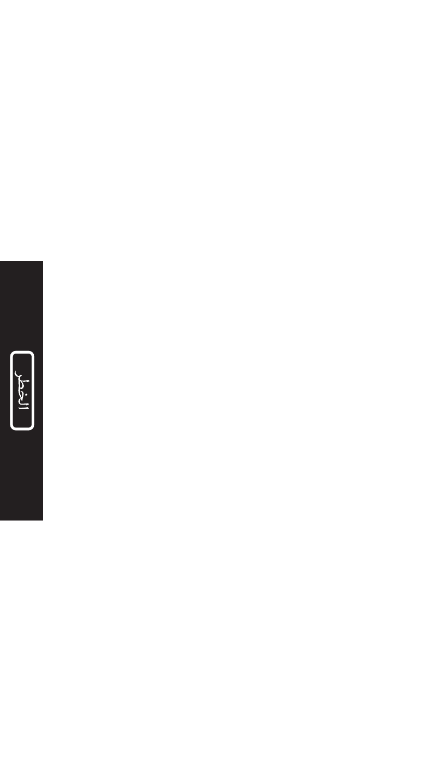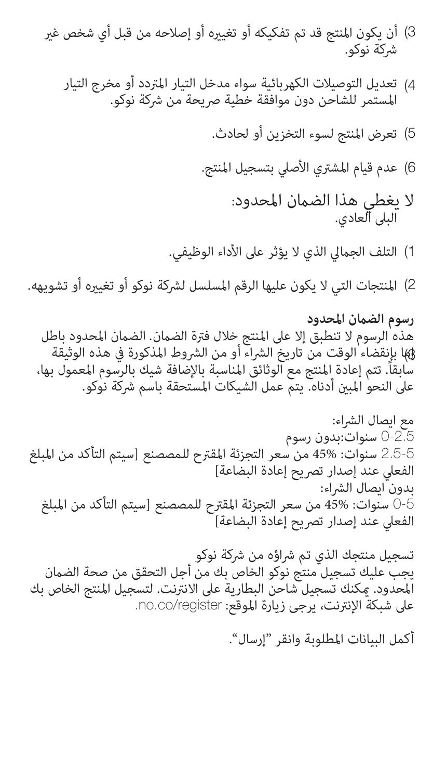- 3) أن يكون المنتج قد تم تفكيكه أو تغييره أو إصلاحه من قبل أي شخص غير شركة نوكو.
	- 4) تعديل التوصيلات الكهربائية سواء مدخل التيار المتردد أو مخرج التيار المستمر للشاحن دون موافقة خطية صريحة من شركة نوكو.
		- تعرض املنتج لسوء التخزين أو لحادث. (5
		- 6) عدم قيام المشتري الأصلي بتسجيل المنتج.
			- لا يغطي هذا الضمان المحدود:<br>البلى العادي.
		- 1) التلف الجمالي الذي لا يؤثر على الأداء الوظيفي.

2) المنتجات التي لا يكون عليها الرقم المسلسل لشركة نوكو أو تغييره أو تشويهه.

**رسوم الضامن املحدود** هذه الرسوم لا تنطبق إلا على المنتج خلال فترة الضمان. الضمان المحدود باطل 43) بإنقضاء الوقت من تاريخ الشراء أو من الشروط المذكورة في هذه الوثيقة سابقا.ً تتم إعادة املنتج مع الوثائق املناسبة باإلضافة شيك بالرسوم املعمول بها، على النحو المبن أدناه. يتم عمل الشيكات المستحقة باسم شركة نوكو.

مع ايصال الرشاء: 0-2.5 سنوات:بدون رسوم 2.5-5 سنوات: 45% من سعر التجزئة املقرتح للمصصنع ]سيتم التأكد من املبلغ الفعلى عند إصدار تصريح إعادة البضاعة] بدون ايصال الرشاء: 0-5 سنوات: 45% من سعر التجزئة املقرتح للمصصنع ]سيتم التأكد من املبلغ الفعلى عند إصدار تصريح إعادة البضاعة]

تسجيل منتجك الذي تم شراؤه من شركة نوكو<br>يجب عليك تسجيل منتج نوكو الخاص بك من أجل التحقق من صحة الضمان المحدود. يمكنك تسجيل شاحن البطارية على الانترنت. لتسجيل المنتج الخاص بك<br>على شبكة الإنترنت، يرجى زيارة الموقع: no.co/register.

أكمل البيانات املطلوبة وانقر "إرسال".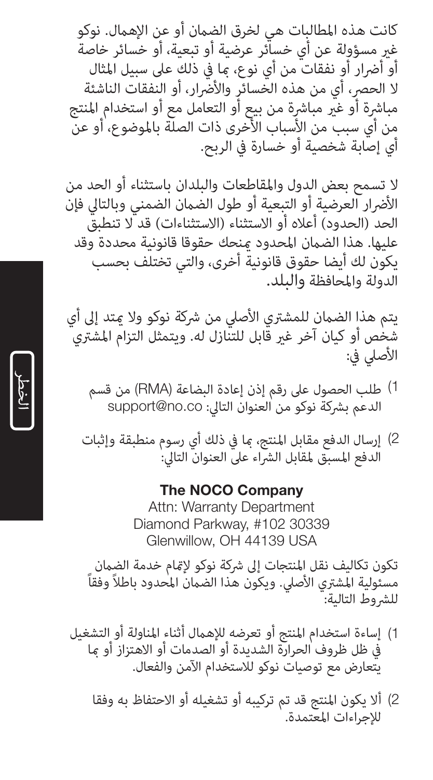كانت هذه املطالبات هي لخرق الضامن أو عن اإلهامل. نوكو غري مسؤولة عن أي خسائر عرضية أو تبعية، أو خسائر خاصة أو أضرار أو نفقات من أي نوع، ما في ذلك على سبيل المثال لا الحصر، أي من هذه الخسائر والأضّرار، أو النفقات الناشئة مباشرة أو غيّر مباشرة من بيع أو التعامل مع أو استخدام المنتج من أي سبب من الأسباب الأُخرى ذات الصلّة بالموضوع، أو عنّ<br>أي إصابة شخصية أو خسارة في الربح.

ال تسمح بعض الدول واملقاطعات والبلدان باستثناء أو الحد من الأضرار العرضية أو التبعية أو طول الضمان الضمني وبالتالي فإن<br>الحد (الحدود) أعلاه أو الاستثناء (الاستثناءات) قد لا تنطبق عليها. هذا الضامن املحدود مينحك حقوقا قانونية محددة وقد يكون لك أيضا حقوق قانونية أخرى، والتي تختلف بحسب الدولة واملحافظة والبلد.

يتم هذا الضمان للمشتري الأصلي من شركة نوكو ولا متد إلى أي شخص أو كيان آخر غير قابل للتنازل له. ويتمثل التزام المشتري<br>الأصلى في:

- طلب الحصول عىل رقم إذن إعادة البضاعة )RMA )من قسم (1 الدعم بشركة نوكو من العنوان التالي: support@no.co
- إرسال الدفع مقابل املنتج، مبا يف ذلك أي رسوم منطبقة وإثبات (2 الدفع المسبق لمقابل الشراء على العنوان التالي:

### The NOCO Company

Attn: Warranty Department Diamond Parkway, #102 30339 Glenwillow, OH 44139 USA

تكون تكاليف نقل المنتجات إلى شركة نوكو لإتمام خدمة الضمان مسئولية المشترى الأصلي. ويكون هذا الضمان المحدود باطلاً وفقاً للشروط التالية:

- يف ظل ظروف الحرارة الشديدة أو الصدمات أو االهتزاز أو مبا إساءة استخدام املنتج أو تعرضه لإلهامل أثناء املناولة أو التشغيل يتعارض مع توصيات نوكو لالستخدام اآلمن والفعال. 1) إساءة استخدام المنتج أو تعرضه للإهمال أثناء المناولة أو التشغيل
	- 2) ألا يكون المنتج قد تم تركيبه أو تشغيله أو الاحتفاظ به وفقا للإجراءات المعتمدة.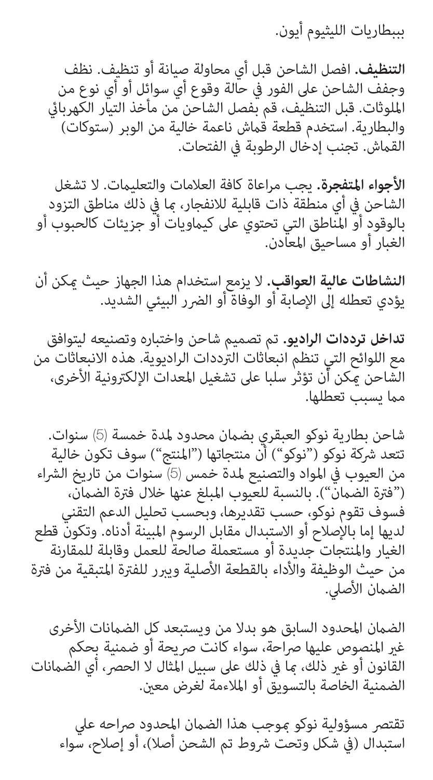بببطاريات الليثيوم أيون.

**التنظيف.** افصل الشاحن قبل أي محاولة صيانة أو تنظيف. نظف وجفف الشاحن عىل الفور يف حالة وقوع أي سوائل أو أي نوع من امللوثات. قبل التنظيف، قم بفصل الشاحن من مأخذ التيار الكهربايئ والبطارية. استخدم قطعة قماش ناعمة خالية من الوبر (ستوكات) القماش. تجنب إدخال الرطوبة في الفتحات.

**األجواء املتفجرة.** يجب مراعاة كافة العالمات والتعليامت. ال تشغل الشاحن يف أي منطقة ذات قابلية لالنفجار، مبا يف ذلك مناطق التزود بالوقود أو المناطق التي تحتوي على كيماويات أو جزيئات كالحبوب أو<br>الغبار أو مساحيق المعادن.

**النشاطات عالية العواقب.** ال يزمع استخدام هذا الجهاز حيث ميكن أن يؤدي تعطله إلى الإصابة أو الوفاة أو الضرر البيئي الشديد.

**تداخل ترددات الراديو.** تم تصميم شاحن واختباره وتصنيعه ليتوافق مع اللوائح التي تنظم انبعاثات الرتددات الراديوية. هذه االنبعاثات من الشاحن يمكن أن تؤثر سلبا على تشغيل المعدات الإلكترونية الأخرى، مما يسبب تعطلها.

شاحن بطارية نوكو العبقري بضمان محدود لمدة خمسة (5) سنوات.<br>تتعد شركة نوكو ("نوكو") أن منتجاتها ("المنتج") سوف تكون خالية من العيوب في المواد والتصنيع لمدة خمس (5) سنوات من تاريخ الشراء ("فترة الضمانّ"). بالنسبة للعيوب المبلغ عنها خلال فترة الضمان،<br>فسوف تقوم نوكو، حسب تقديرها، وبحسب تحليل الدعم التقني لديها إما بالإصلاح أو الاستبدال مقابل الرسوم المبينة أدناه. وتكون قطع الغيار واملنتجات جديدة أو مستعملة صالحة للعمل وقابلة للمقارنة من حيث الوظيفة والأداء بالقطعة الأصلية ويبرر للفترة المتبقية من فترة الضمان الأصلي.

الضمان المحدود السابق هو بدلا من ويستبعد كل الضمانات الأخرى<br>غير المنصوص عليها صراحة، سواء كانت صريحة أو ضمنية بحكم القانون أو غير ذلك، ما في ذلك على سبيل المثال لا الحصر، أي الضمانات<br>الضمنية الخاصة بالتسويق أو الملاءمة لغرض معين.

تقتصر مسؤولية نوكو موجب هذا الضمان المحدود صراحه علي استبدال (في شكل وتحت شروط تم الشحن أصلا)، أو إصلاح، سواء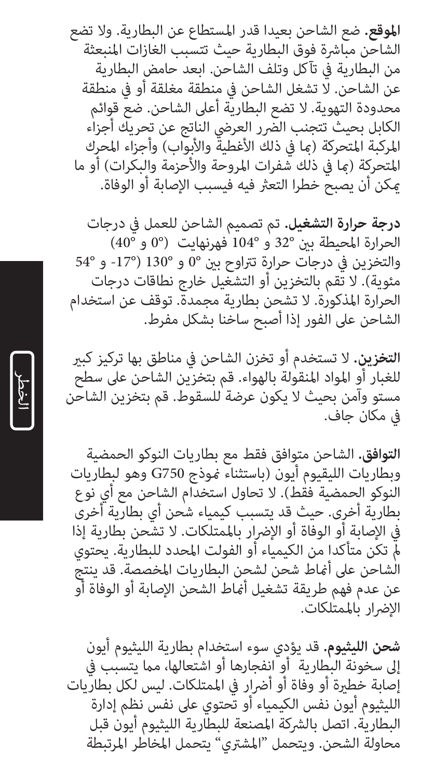**املوقع.** ضع الشاحن بعيدا قدر املستطاع عن البطارية. وال تضع الشاحن مباشرة فوق البطارية حيث تتسبب الغازات المنبعثة من البطارية يف تآكل وتلف الشاحن. ابعد حامض البطارية عن الشاحن. لا تشغل الشاحن في منطقة مغلقة أو في منطقة محدودة التهوية. ال تضع البطارية أعىل الشاحن. ضع قوائم الكابل بحيث تتجنب الضّرر العرضي الناتج عن تحريك أجزاء المركبة المتحركة (ما في ذلك الأغطية والأبواب) وأجزاء المحرك<br>المتحركة (ما في ذلك شفرات المروحة والأحزمة والبكرات) أو ما مكن أن يصبح خطرا التعثر فيه فيسبب الإصابة أو الوفاة.

<mark>درجة حرارة التشغيل.</mark> تم تصميم الشاحن للعمل في درجات<br>الحرارة المحيطة بين °32 و °104 فهرنهايت (°0 و °40) والتخزين في درجات حرارة تتراوح بين °0 و °130 (°17- و °54<br>مئوية). لا تقم بالتخزين أو التشغيل خارج نطاقات درجات الحرارة المذكورة. لا تشحن بطارية مجمدة. توقف عن استخدام<br>الشاحن على الفور إذا أصبح ساخنا بشكل مفرط.

ا**لتخزين.** لا تستخدم أو تخزن الشاحن في مناطق بها تركيز كبير للغبار أو املواد املنقولة بالهواء. قم بتخزين الشاحن عىل سطح مستو وآمن بحيث ال يكون عرضة للسقوط. قم بتخزين الشاحن يف مكان جاف.

**التوافق.** الشاحن متوافق فقط مع بطاريات النوكو الحمضية النوكو الحمضية فقط). لا تحاول استخدام الشاحن مع أي نوع بطارية أخرى. حيث قد يتسبب كيمياء شحن أي بطارية أخرى يف اإلصابة أو الوفاة أو اإلرضار باملمتلكات. ال تشحن بطارية إذا مل تكن متأكدا من الكيمياء أو الفولت املحدد للبطارية. يحتوي الشاحن عىل أمناط شحن لشحن البطاريات املخصصة. قد ينتج عن عدم فهم طريقة تشغيل أماط الشحن الإصابة أو الوفاة أو الإضرار بالممتلكات.

**شحن الليثيوم.** قد يؤدي سوء استخدام بطارية الليثيوم أيون<br>إلى سخونة البطارية أو انفجارها أو اشتعالها، مما يتسبب في<br>إصابة خطيرة أو وفاة أو أن أضار في المنتلكات. ليس لكل بطاريات<br>اللبثيوم أيون نفس الكيمياء أو تحتوى على نفس ن البطارية. اتصل بالرشكة املصنعة للبطارية الليثيوم أيون قبل محاولة الشحن. ويتحمل "املشرتي" يتحمل املخاطر املرتبطة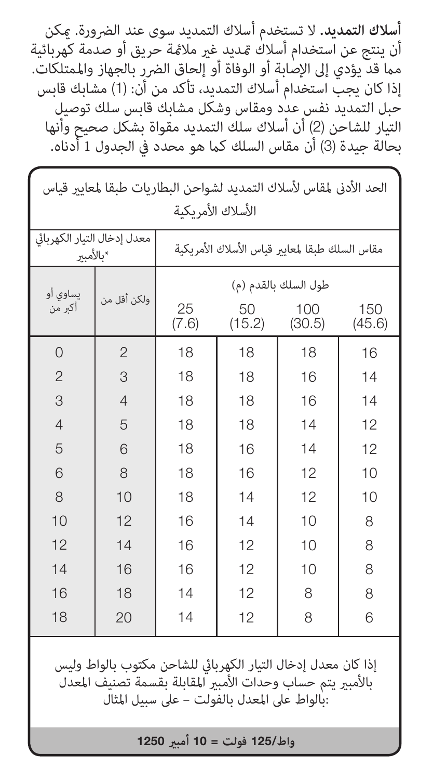أ**سلاك التمديد.** لا تستخدم أسلاك التمديد سوى عند الضرورة. مكن أن ينتج عن استخدام أسلاك قديد غير ملامًة حريق أو صدمة كهربائية مما قد يؤدي إلى الإصابة أو الوفاة أو إلحاق الضرر بالجهاز والممتلكات. إذا كان يجب استخدام أسلاك التمديد، تأكد من أن: (1) مشابك قابس حبل التمديد نفس عدد ومقاس وشكل مشابك قابس سلك توصيل التيار للشاحن )2( أن أسالك سلك التمديد مقواة بشكل صحيح وأنها بحالة جيدة (3) أن مقاس السلك كما هو محدد في الجدول 1 أدناه.

| الحد الأدنى لمقاس لأسلاك التمديد لشواحن البطاريات طبقا لمعايير قياس |                |                                               |              |               |               |  |  |  |
|---------------------------------------------------------------------|----------------|-----------------------------------------------|--------------|---------------|---------------|--|--|--|
| الأسلاك الأمر بكبة                                                  |                |                                               |              |               |               |  |  |  |
| معدل إدخال التبار الكهربائي<br>*ىالأمىبر                            |                | مقاس السلك طبقا لمعاير قياس الأسلاك الأمريكية |              |               |               |  |  |  |
| يساوى أو<br>أكبر من                                                 | ولكن أقل من    | طول السلك بالقدم (م)                          |              |               |               |  |  |  |
|                                                                     |                | 25<br>(7.6)                                   | 50<br>(15.2) | 100<br>(30.5) | 150<br>(45.6) |  |  |  |
| $\Omega$                                                            | $\overline{2}$ | 18                                            | 18           | 18            | 16            |  |  |  |
| $\overline{c}$                                                      | 3              | 18                                            | 18           | 16            | 14            |  |  |  |
| 3                                                                   | $\overline{4}$ | 18                                            | 18           | 16            | 14            |  |  |  |
| $\overline{4}$                                                      | 5              | 18                                            | 18           | 14            | 12            |  |  |  |
| 5                                                                   | 6              | 18                                            | 16           | 14            | 12            |  |  |  |
| 6                                                                   | 8              | 18                                            | 16           | 12            | 10            |  |  |  |
| 8                                                                   | 10             | 18                                            | 14           | 12            | 10            |  |  |  |
| 10                                                                  | 12             | 16                                            | 14           | 10            | 8             |  |  |  |
| 12                                                                  | 14             | 16                                            | 12           | 10            | 8             |  |  |  |
| 14                                                                  | 16             | 16                                            | 12           | 10            | 8             |  |  |  |
| 16                                                                  | 18             | 14                                            | 12           | 8             | 8             |  |  |  |
| 18                                                                  | 20             | 14                                            | 12           | 8             | 6             |  |  |  |
| إذا كان معدل إدخال التيار الكهربائي للشاحن مكتوب بالواط وليس        |                |                                               |              |               |               |  |  |  |

بالأمبر يتم حساب وحدات الأمبر المقابلة بقسمة تصنيف المعدل :بالواط عىل املعدل بالفولت – عىل سبيل املثال

**واط**125/ **فولت** = 10 **أمبري**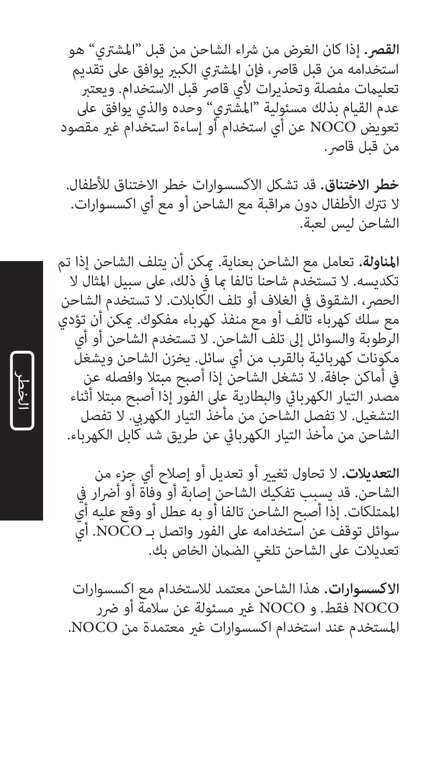ا**لقص.** إذا كان الغرض من شراء الشاحن من قبل "المشتري" هو استخدامه من قبل قاصر، فإن المشترى الكبير يوافق على تقديم تعليمات مفصلة وتحذيرات لأي قاصر قبل الاستخدام. ويعتبر عدم القيام بذلك مسئولية "املشرتي" وحده والذي يوافق عىل تعويض NOCO عن أي استخدام أو إساءة استخدام غري مقصود من قبل قاصر.

**خطر االختناق.** قد تشكل االكسسوارات خطر االختناق لألطفال. ال ترتك األطفال دون مراقبة مع الشاحن أو مع أي اكسسوارات. الشاحن ليس لعبة.

**املناولة.** تعامل مع الشاحن بعناية. ميكن أن يتلف الشاحن إذا تم تكديسه. لا تستخدم شاحنا تالفا ما فى ذلك، على سبيل المثال لا الحصر، الشقوق في الغلاف أو تلف الكابلات. لا تستخدم الشاحن مع سلك كهرباء تالف أو مع منفذ كهرباء مفكوك. ميكن أن تؤدي الرطوبة والسوائل إىل تلف الشاحن. ال تستخدم الشاحن أو أي مكونات كهربائية بالقرب من أي سائل. يخزن الشاحن ويشغل يف أماكن جافة. ال تشغل الشاحن إذا أصبح مبتال وافصله عن مصدر التيار الكهربايئ والبطارية عىل الفور إذا أصبح مبتال أثناء التشغيل. لا تفصل الشاحن من مأخذ التيار الكهربي. لا تفصل الشاحن من مأخذ التيار الكهربايئ عن طريق شد كابل الكهرباء.

**التعديالت.** ال تحاول تغيري أو تعديل أو إصالح أي جزء من الشاحن. قد يسبب تفكيك الشاحن إصابة أو وفاة أو أضرار فى املمتلكات. إذا أصبح الشاحن تالفا أو به عطل أو وقع عليه أي سوائل توقف عن استخدامه عىل الفور واتصل بـ NOCO. أي تعديلات على الشاحن تلغي الضمان الخاص بك.

ا**لاكسسوارات.** هذا الشاحن معتمد للاستخدام مع اكسسوارات<br>NOCO فقط. و NOCO غير مسئولة عن سلامة أو ضرر املستخدم عند استخدام اكسسوارات غري معتمدة من NOCO. NOCO فقط. و NOCO غري مسئولة عن سالمة أو رضر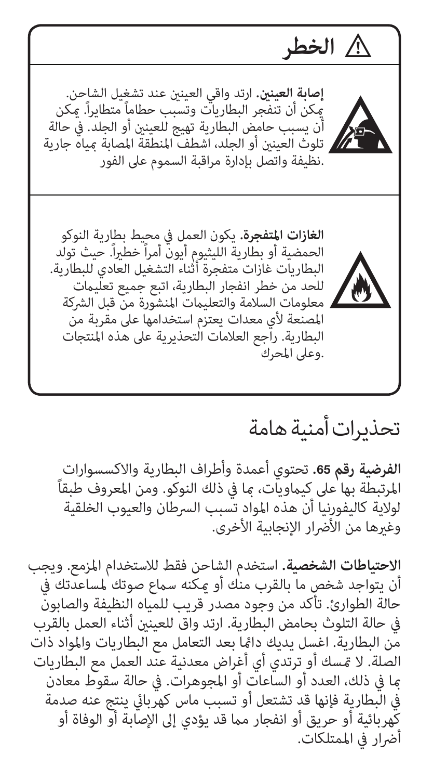**الغازات المتفجرة.** يكون العمل في محيط بطارية النوكو<br>الحمضية أو بطارية الليثيوم أيون أمراً خطيراً. حيث تولد البطاريات غازات متفجرة أثناء التشغيل العادي للبطارية. للحد من خطر انفجار البطارية، اتبع جميع تعليامت معلومات السلامة والتعليمات المنشورة من قبل الشركة املصنعة ألي معدات يعتزم استخدامها عىل مقربة من البطارية. راجع العالمات التحذيرية عىل هذه املنتجات .وعىل املحرك **إصابة العينني.** ارتد واقي العينني عند تشغيل الشاحن. ميكن أن تنفجر البطاريات وتسبب حطاماً متطايرا.ً ميكن أن يسبب حامض البطارية تهيج للعينني أو الجلد. يف حالة تلوث العينني أو الجلد، اشطف املنطقة املصابة مبياه جارية .نظيفة واتصل بإدارة مراقبة السموم عىل الفور **الخطر**

# تحذيرات أمنية هامة

<mark>الفرضية رقم 65.</mark> تحتوي أعمدة وأطراف البطارية والاكسسوارات<br>المرتبطة بها على كيماويات، ما في ذلك النوكو. ومن المعروف طبقاً لوالية كاليفورنيا أن هذه املواد تسبب الرسطان والعيوب الخلقية وغيرها من الأضرار الإنجابية الأخرى.

**االحتياطات الشخصية.** استخدم الشاحن فقط لالستخدام املزمع. ويجب أن يتواجد شخص ما بالقرب منك أو مكنه سماع صوتك لمساعدتك في حالة الطوارئ. تأكد من وجود مصدر قريب للمياه النظيفة والصابون يف حالة التلوث بحامض البطارية. ارتد واق للعينني أثناء العمل بالقرب من البطارية. اغسل يديك دامئا بعد التعامل مع البطاريات واملواد ذات الصلة. لا مّسك أو ترتدي أي أغراض معدنية عند العمل مع البطاريات مبا يف ذلك، العدد أو الساعات أو املجوهرات. يف حالة سقوط معادن يف البطارية فإنها قد تشتعل أو تسبب ماس كهربايئ ينتج عنه صدمة كَهربائية أو حريق أو انفجار مما قد يؤدي إلى الإصابة أو الوفاة أو<br>أضرار في الممتلكات.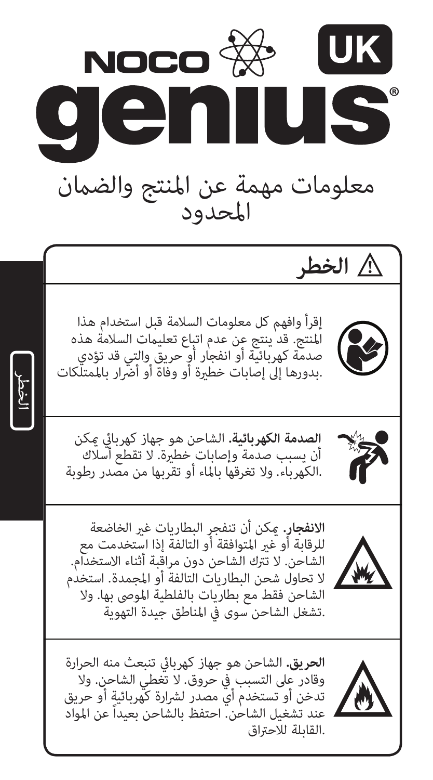